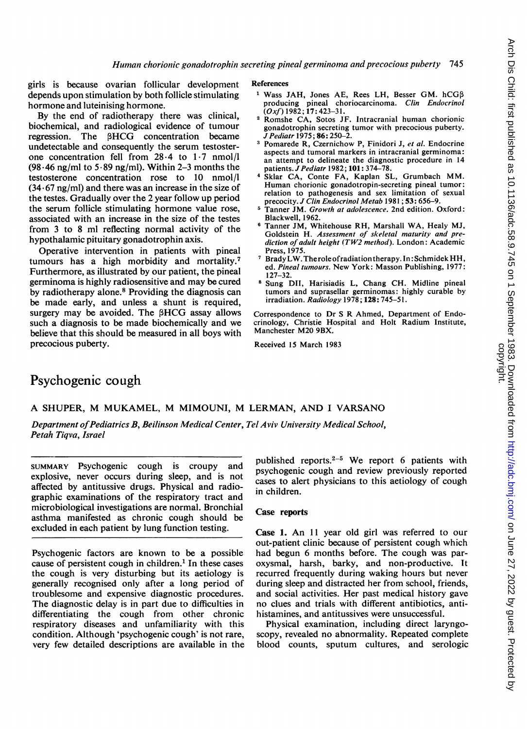girls is because ovarian follicular development depends upon stimulation by both follicle stimulating hormone and luteinising hormone.

By the end of radiotherapy there was clinical, biochemical, and radiological evidence of tumour regression. The 3HCG concentration became undetectable and consequently the serum testosterone concentration fell from 28-4 to 1-7 nmol/l  $(98.46 \text{ ng/ml to } 5.89 \text{ ng/ml})$ . Within 2-3 months the testosterone concentration rose to 10 nmol/l  $(34.67 \text{ ng/ml})$  and there was an increase in the size of the testes. Gradually over the 2 year follow up period the serum follicle stimulating hormone value rose, associated with an increase in the size of the testes from 3 to 8 ml reflecting normal activity of the hypothalamic pituitary gonadotrophin axis.

Operative intervention in patients with pineal tumours has a high morbidity and mortality.7 Furthermore, as illustrated by our patient, the pineal germinoma is highly radiosensitive and may be cured by radiotherapy alone.<sup>8</sup> Providing the diagnosis can be made early, and unless a shunt is required, surgery may be avoided. The 3HCG assay allows such a diagnosis to be made biochemically and we believe that this should be measured in all boys with precocious puberty.

#### References

- $1$  Wass JAH, Jones AE, Rees LH, Besser GM. hCG $\beta$ producing pineal choriocarcinoma. Clin Endocrinol<br>(Oxf) 1982; 17: 423–31.
- <sup>2</sup> Romshe CA, Sotos JF. Intracranial human chorionic gonadotrophin secreting tumor with precocious puberty. JPediatr 1975; 86: 250-2.
- <sup>3</sup> Pomarede R, Czernichow P, Finidori J, et al. Endocrine aspects and tumoral markers in intracranial germinoma: an attempt to delineate the diagnostic procedure in 14 patients. *J Pediatr* 1982; 101: 374-78.
- <sup>4</sup> Sklar CA, Conte FA, Kaplan SL, Grumbach MM. Human chorionic gonadotropin-secreting pineal tumor: relation to pathogenesis and sex limitation of sexual
- precocity. *J Clin Endocrinol Metab* 1981; **53:** 656–9.<br><sup>5</sup> Tanner JM. *Growth at adolescence*. 2nd edition. Oxford: Blackwell, 1962.
- <sup>6</sup> Tanner JM, Whitehouse RH, Marshall WA, Healy MJ, Goldstein H. Assessment of skeletal maturity and prediction of adult height (TW2 method). London: Academic Press, 1975.
- <sup>7</sup> BradyLW.Theroleofradiationtherapy. In: SchmidekHH, ed. Pineal tumours. New York: Masson Publishing, 1977: 127-32.
- <sup>8</sup> Sung DII, Harisiadis L, Chang CH. Midline pineal tumors and suprasellar germinomas: highly curable by irradiation. Radiology 1978; 128: 745-51.

Correspondence to Dr <sup>S</sup> R Ahmed, Department of Endocrinology, Christie Hospital and Holt Radium Institute, Manchester M20 9BX.

Received 15 March 1983

# Psychogenic cough

### A SHUPER, M MUKAMEL, M MIMOUNI, M LERMAN, AND <sup>I</sup> VARSANO

Department of Pediatrics B, Beilinson Medical Center, Tel Aviv University Medical School, Petah Tiqva, Israel

SUMMARY Psychogenic cough is croupy and explosive, never occurs during sleep, and is not affected by antitussive drugs. Physical and radiographic examinations of the respiratory tract and microbiological investigations are normal. Bronchial asthma manifested as chronic cough should be excluded in each patient by lung function testing.

Psychogenic factors are known to be a possible cause of persistent cough in children.<sup>1</sup> In these cases the cough is very disturbing but its aetiology is generally recognised only after a long period of troublesome and expensive diagnostic procedures. The diagnostic delay is in part due to difficulties in differentiating the cough from other chronic respiratory diseases and unfamiliarity with this condition. Although 'psychogenic cough' is not rare, very few detailed descriptions are available in the

published reports. $2-5$  We report 6 patients with psychogenic cough and review previously reported cases to alert physicians to this aetiology of cough in children.

# Case reports

Case 1. An <sup>11</sup> year old girl was referred to our out-patient clinic because of persistent cough which had begun 6 months before. The cough was paroxysmal, harsh, barky, and non-productive. It recurred frequently during waking hours but never during sleep and distracted her from school, friends, and social activities. Her past medical history gave no clues and trials with different antibiotics, antihistamines, and antitussives were unsuccessful.

Physical examination, including direct laryngoscopy, revealed no abnormality. Repeated complete blood counts, sputum cultures, and serologic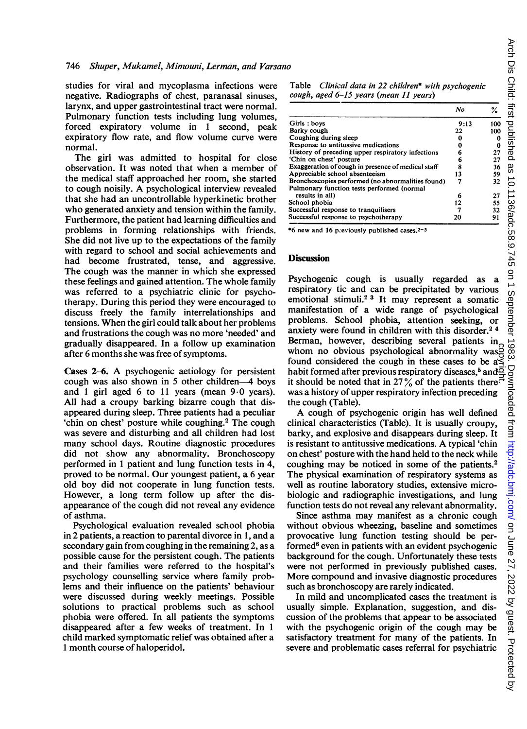studies for viral and mycoplasma infections were negative. Radiographs of chest, paranasal sinuses, larynx, and upper gastrointestinal tract were normal. Pulmonary function tests including lung volumes, forced expiratory volume in <sup>1</sup> second, peak expiratory flow rate, and flow volume curve were normal.

The girl was admitted to hospital for close observation. It was noted that when a member of the medical staff approached her room, she started to cough noisily. A psychological interview revealed that she had an uncontrollable hyperkinetic brother who generated anxiety and tension within the family. Furthermore, the patient had learning difficulties and problems in forming relationships with friends. She did not live up to the expectations of the family with regard to school and social achievements and had become frustrated, tense, and aggressive. The cough was the manner in which she expressed these feelings and gained attention. The whole family was referred to a psychiatric clinic for psychotherapy. During this period they were encouraged to discuss freely the family interrelationships and tensions. When the girl could talk about her problems and frustrations the cough was no more 'needed' and gradually disappeared. In a follow up examination after 6 months she was free of symptoms.

Cases 2-6. A psychogenic aetiology for persistent cough was also shown in 5 other children-A boys and 1 girl aged 6 to 11 years (mean  $9.0$  years). All had a croupy barking bizarre cough that disappeared during sleep. Three patients had a peculiar 'chin on chest' posture while coughing.<sup>2</sup> The cough was severe and disturbing and all children had lost many school days. Routine diagnostic procedures did not show any abnormality. Bronchoscopy performed in <sup>1</sup> patient and lung function tests in 4, proved to be normal. Our youngest patient, a 6 year old boy did not cooperate in lung function tests. However, a long term follow up after the disappearance of the cough did not reveal any evidence of asthma.

Psychological evaluation revealed school phobia in 2 patients, a reaction to parental divorce in 1, and a secondary gain from coughing in the remaining 2, as a possible cause for the persistent cough. The patients and their families were referred to the hospital's psychology counselling service where family problems and their influence on the patients' behaviour were discussed during weekly meetings. Possible solutions to practical problems such as school phobia were offered. In all patients the symptoms disappeared after a few weeks of treatment. In <sup>1</sup> child marked symptomatic relief was obtained after a <sup>1</sup> month course of haloperidol.

Table Clinical data in 22 children\* with psychogenic cough, aged 6-15 years (mean 11 years)

|                                                    | No   |     |
|----------------------------------------------------|------|-----|
| Girls: boys                                        | 9:13 | 100 |
| Barky cough                                        | 22   | 100 |
| Coughing during sleep                              |      | Ω   |
| Response to antitussive medications                | Ω    | 0   |
| History of preceding upper respiratory infections  | 6    | 27  |
| 'Chin on chest' posture                            | 6    | 27  |
| Exaggeration of cough in presence of medical staff | 8    | 36  |
| Appreciable school absenteeism                     | 13   | 59  |
| Bronchoscopies performed (no abnormalities found)  |      | 32  |
| Pulmonary function tests performed (normal         |      |     |
| results in all)                                    | 6    | 27  |
| School phobia                                      | 12   | 55  |
| Successful response to tranquilisers               |      | 32  |
| Successful response to psychotherapy               | 20   | 91  |

\*6 new and 16 p;eviously publisled cases.2-5

# **Discussion**

Psychogenic cough is usually regarded as a respiratory tic and can be precipitated by various emotional stimuli.2 3 It may represent a somatic manifestation of a wide range of psychological problems. School phobia, attention seeking, or anxiety were found in children with this disorder.<sup>24</sup> Berman, however, describing several patients in whom no obvious psychological abnormality was<br>found considered the cough in these cases to be as<br>habit formed after previous respiratory diseases,<sup>5</sup> and<br>in should be noted that in 27% of the patients there: found considered the cough in these cases to be  $a\leq$ habit formed after previous respiratory diseases,<sup>5</sup> and $\overline{\mathbb{Q}}$ it should be noted that in 27% of the patients there<sup> $\vec{=}$ </sup> was a history of upper respiratory infection preceding the cough (Table).

A cough of psychogenic origin has well defined clinical characteristics (Table). It is usually croupy, barky, and explosive and disappears during sleep. It is resistant to antitussive medications. A typical 'chin on chest' posture with the hand held to the neck while coughing may be noticed in some of the patients.2 The physical examination of respiratory systems as well as routine laboratory studies, extensive microbiologic and radiographic investigations, and lung function tests do not reveal any relevant abnormality.

Since asthma may manifest as a chronic cough without obvious wheezing, baseline and sometimes provocative lung function testing should be performed $6$  even in patients with an evident psychogenic background for the cough. Unfortunately these tests were not performed in previously published cases. More compound and invasive diagnostic procedures such as bronchoscopy are rarely indicated.

In mild and uncomplicated cases the treatment is usually simple. Explanation, suggestion, and discussion of the problems that appear to be associated with the psychogenic origin of the cough may be satisfactory treatment for many of the patients. In severe and problematic cases referral for psychiatric